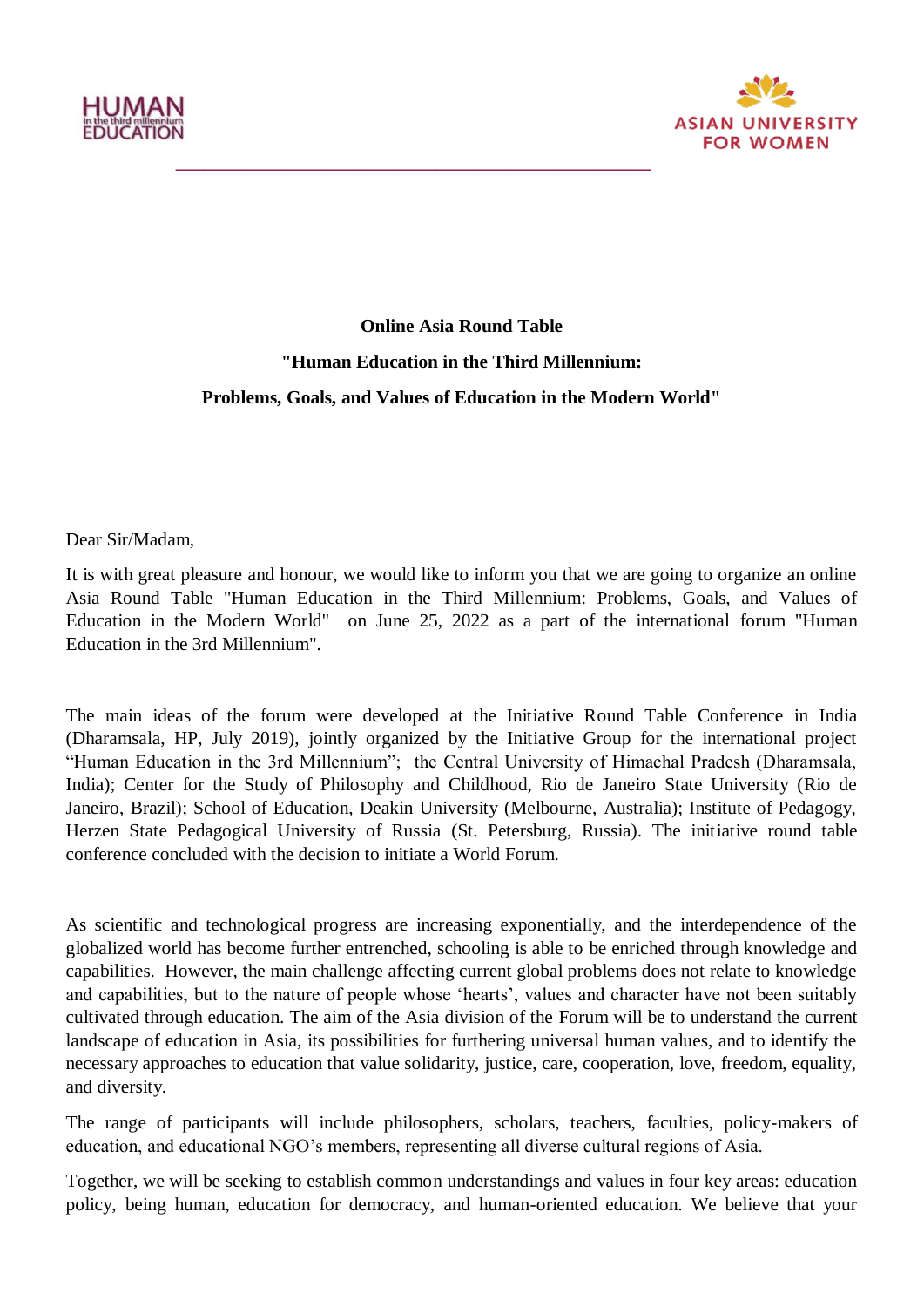



## **Online Asia Round Table "Human Education in the Third Millennium: Problems, Goals, and Values of Education in the Modern World"**

**\_\_\_\_\_\_\_\_\_\_\_\_\_\_\_\_\_\_\_\_\_\_\_\_\_\_\_\_\_\_\_\_\_\_\_\_\_\_\_\_\_\_\_\_\_\_\_\_\_\_\_**

Dear Sir/Madam,

It is with great pleasure and honour, we would like to inform you that we are going to organize an online Asia Round Table "Human Education in the Third Millennium: Problems, Goals, and Values of Education in the Modern World" on June 25, 2022 as a part of the international forum "Human Education in the 3rd Millennium".

The main ideas of the forum were developed at the Initiative Round Table Conference in India (Dharamsala, HP, July 2019), jointly organized by the Initiative Group for the international project "Human Education in the 3rd Millennium"; the Central University of Himachal Pradesh (Dharamsala, India); Center for the Study of Philosophy and Childhood, Rio de Janeiro State University (Rio de Janeiro, Brazil); School of Education, Deakin University (Melbourne, Australia); Institute of Pedagogy, Herzen State Pedagogical University of Russia (St. Petersburg, Russia). The initiative round table conference concluded with the decision to initiate a World Forum.

As scientific and technological progress are increasing exponentially, and the interdependence of the globalized world has become further entrenched, schooling is able to be enriched through knowledge and capabilities. However, the main challenge affecting current global problems does not relate to knowledge and capabilities, but to the nature of people whose 'hearts', values and character have not been suitably cultivated through education. The aim of the Asia division of the Forum will be to understand the current landscape of education in Asia, its possibilities for furthering universal human values, and to identify the necessary approaches to education that value solidarity, justice, care, cooperation, love, freedom, equality, and diversity.

The range of participants will include philosophers, scholars, teachers, faculties, policy-makers of education, and educational NGO"s members, representing all diverse cultural regions of Asia.

Together, we will be seeking to establish common understandings and values in four key areas: education policy, being human, education for democracy, and human-oriented education. We believe that your